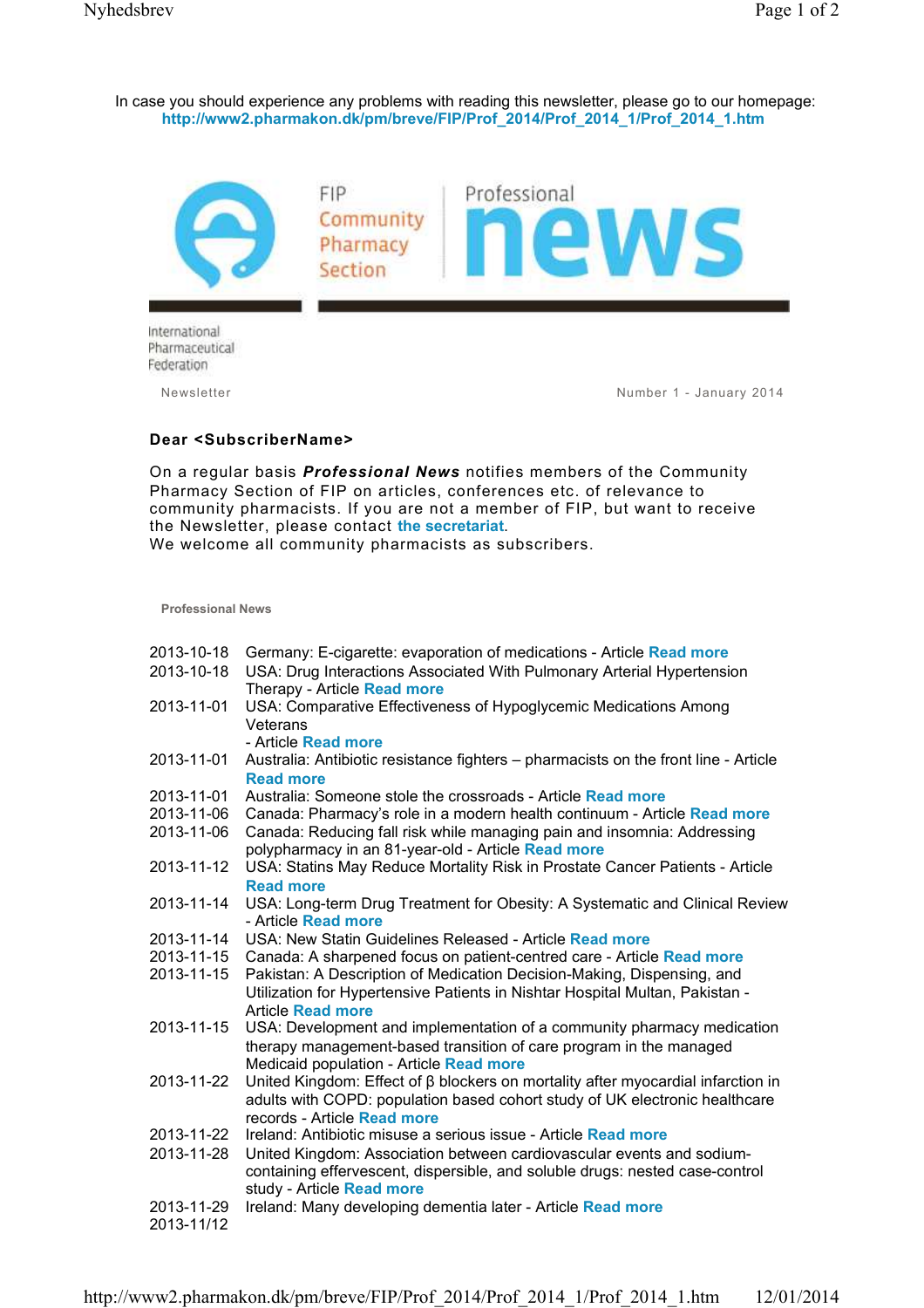In case you should experience any problems with reading this newsletter, please go to our homepage: **http://www2.pharmakon.dk/pm/breve/FIP/Prof\_2014/Prof\_2014\_1/Prof\_2014\_1.htm** 



Newsletter Number 1 - January 2014

## **Dear <SubscriberName>**

On a regular basis *Professional News* notifies members of the Community Pharmacy Section of FIP on articles, conferences etc. of relevance to community pharmacists. If you are not a member of FIP, but want to receive the Newsletter, please contact **the secretariat**.

We welcome all community pharmacists as subscribers.

**Professional News**

| 2013-10-18 | Germany: E-cigarette: evaporation of medications - Article Read more                                  |
|------------|-------------------------------------------------------------------------------------------------------|
| 2013-10-18 | USA: Drug Interactions Associated With Pulmonary Arterial Hypertension<br>Therapy - Article Read more |
| 2013-11-01 | USA: Comparative Effectiveness of Hypoglycemic Medications Among                                      |
|            | Veterans                                                                                              |
|            | - Article Read more                                                                                   |
| 2013-11-01 | Australia: Antibiotic resistance fighters - pharmacists on the front line - Article                   |
|            | <b>Read more</b>                                                                                      |
| 2013-11-01 | Australia: Someone stole the crossroads - Article Read more                                           |
| 2013-11-06 | Canada: Pharmacy's role in a modern health continuum - Article Read more                              |
| 2013-11-06 | Canada: Reducing fall risk while managing pain and insomnia: Addressing                               |
|            | polypharmacy in an 81-year-old - Article Read more                                                    |
| 2013-11-12 | USA: Statins May Reduce Mortality Risk in Prostate Cancer Patients - Article                          |
|            | <b>Read more</b>                                                                                      |
| 2013-11-14 | USA: Long-term Drug Treatment for Obesity: A Systematic and Clinical Review                           |
|            | - Article Read more                                                                                   |
| 2013-11-14 | USA: New Statin Guidelines Released - Article Read more                                               |
| 2013-11-15 | Canada: A sharpened focus on patient-centred care - Article Read more                                 |
| 2013-11-15 | Pakistan: A Description of Medication Decision-Making, Dispensing, and                                |
|            | Utilization for Hypertensive Patients in Nishtar Hospital Multan, Pakistan -                          |
|            | <b>Article Read more</b>                                                                              |
| 2013-11-15 | USA: Development and implementation of a community pharmacy medication                                |
|            | therapy management-based transition of care program in the managed                                    |
|            | Medicaid population - Article Read more                                                               |
| 2013-11-22 | United Kingdom: Effect of $\beta$ blockers on mortality after myocardial infarction in                |
|            | adults with COPD: population based cohort study of UK electronic healthcare                           |
|            | records - Article Read more                                                                           |
| 2013-11-22 | Ireland: Antibiotic misuse a serious issue - Article Read more                                        |
| 2013-11-28 | United Kingdom: Association between cardiovascular events and sodium-                                 |
|            | containing effervescent, dispersible, and soluble drugs: nested case-control                          |
|            | study - Article Read more                                                                             |
| 2013-11-29 | Ireland: Many developing dementia later - Article Read more                                           |
| 2013-11/12 |                                                                                                       |